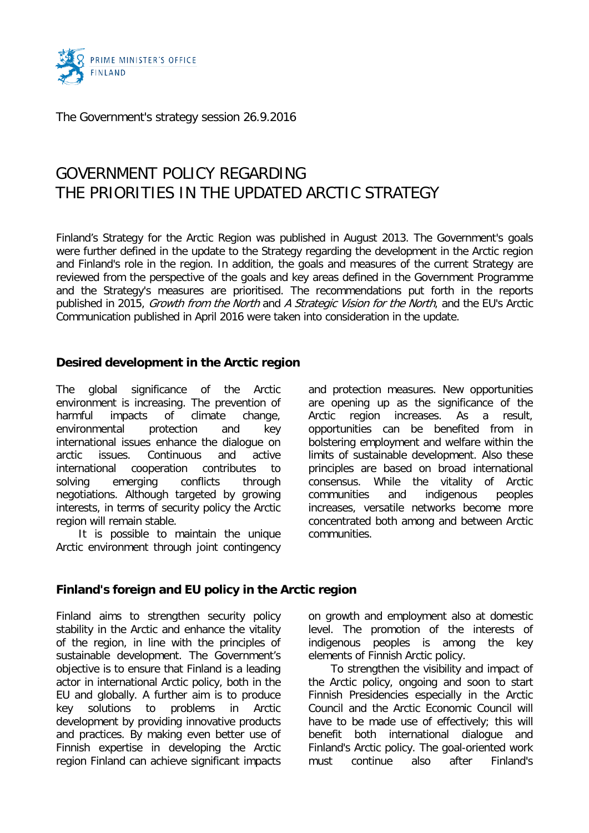

The Government's strategy session 26.9.2016

# GOVERNMENT POLICY REGARDING THE PRIORITIES IN THE UPDATED ARCTIC STRATEGY

Finland's Strategy for the Arctic Region was published in August 2013. The Government's goals were further defined in the update to the Strategy regarding the development in the Arctic region and Finland's role in the region. In addition, the goals and measures of the current Strategy are reviewed from the perspective of the goals and key areas defined in the Government Programme and the Strategy's measures are prioritised. The recommendations put forth in the reports published in 2015, Growth from the North and A Strategic Vision for the North, and the EU's Arctic Communication published in April 2016 were taken into consideration in the update.

# **Desired development in the Arctic region**

The global significance of the Arctic environment is increasing. The prevention of harmful impacts of climate change, environmental protection and key international issues enhance the dialogue on arctic issues. Continuous and active international cooperation contributes to solving emerging conflicts through negotiations. Although targeted by growing interests, in terms of security policy the Arctic region will remain stable.

It is possible to maintain the unique Arctic environment through joint contingency and protection measures. New opportunities are opening up as the significance of the Arctic region increases. As a result, opportunities can be benefited from in bolstering employment and welfare within the limits of sustainable development. Also these principles are based on broad international consensus. While the vitality of Arctic communities and indigenous peoples increases, versatile networks become more concentrated both among and between Arctic communities.

## **Finland's foreign and EU policy in the Arctic region**

Finland aims to strengthen security policy stability in the Arctic and enhance the vitality of the region, in line with the principles of sustainable development. The Government's objective is to ensure that Finland is a leading actor in international Arctic policy, both in the EU and globally. A further aim is to produce key solutions to problems in Arctic development by providing innovative products and practices. By making even better use of Finnish expertise in developing the Arctic region Finland can achieve significant impacts

on growth and employment also at domestic level. The promotion of the interests of indigenous peoples is among the key elements of Finnish Arctic policy.

To strengthen the visibility and impact of the Arctic policy, ongoing and soon to start Finnish Presidencies especially in the Arctic Council and the Arctic Economic Council will have to be made use of effectively; this will benefit both international dialogue and Finland's Arctic policy. The goal-oriented work must continue also after Finland's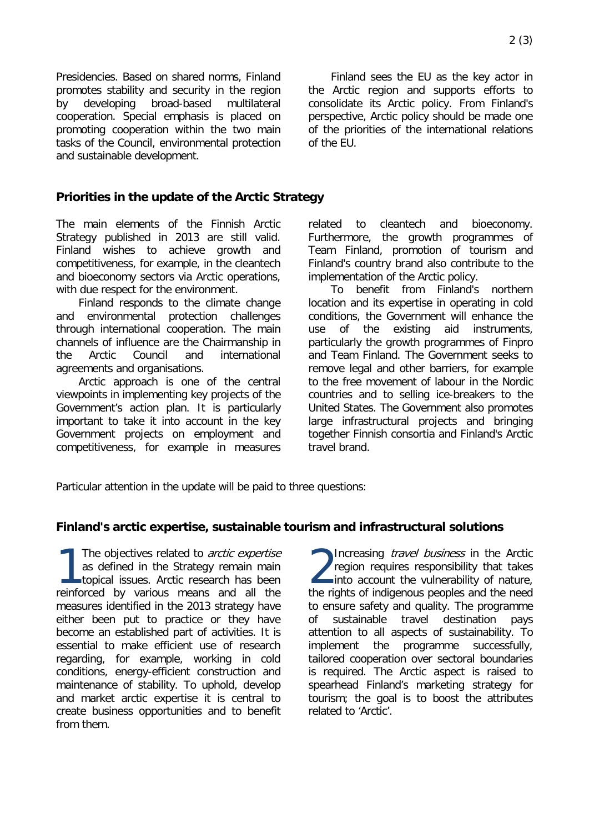Presidencies. Based on shared norms, Finland promotes stability and security in the region by developing broad-based multilateral cooperation. Special emphasis is placed on promoting cooperation within the two main tasks of the Council, environmental protection and sustainable development.

Finland sees the EU as the key actor in the Arctic region and supports efforts to consolidate its Arctic policy. From Finland's perspective, Arctic policy should be made one of the priorities of the international relations of the EU.

## **Priorities in the update of the Arctic Strategy**

The main elements of the Finnish Arctic Strategy published in 2013 are still valid. Finland wishes to achieve growth and competitiveness, for example, in the cleantech and bioeconomy sectors via Arctic operations, with due respect for the environment.

Finland responds to the climate change and environmental protection challenges through international cooperation. The main channels of influence are the Chairmanship in the Arctic Council and international agreements and organisations.

Arctic approach is one of the central viewpoints in implementing key projects of the Government's action plan. It is particularly important to take it into account in the key Government projects on employment and competitiveness, for example in measures

related to cleantech and bioeconomy. Furthermore, the growth programmes of Team Finland, promotion of tourism and Finland's country brand also contribute to the implementation of the Arctic policy.

To benefit from Finland's northern location and its expertise in operating in cold conditions, the Government will enhance the use of the existing aid instruments, particularly the growth programmes of Finpro and Team Finland. The Government seeks to remove legal and other barriers, for example to the free movement of labour in the Nordic countries and to selling ice-breakers to the United States. The Government also promotes large infrastructural projects and bringing together Finnish consortia and Finland's Arctic travel brand.

Particular attention in the update will be paid to three questions:

## **Finland's arctic expertise, sustainable tourism and infrastructural solutions**

The objectives related to *arctic expertise*<br>
as defined in the Strategy remain main<br>
topical issues. Arctic research has been<br> **12.** as defined in the Strategy remain main topical issues. Arctic research has been reinforced by various means and all the measures identified in the 2013 strategy have either been put to practice or they have become an established part of activities. It is essential to make efficient use of research regarding, for example, working in cold conditions, energy-efficient construction and maintenance of stability. To uphold, develop and market arctic expertise it is central to create business opportunities and to benefit from them.

Increasing *travel business* in the Arctic region requires responsibility that takes into account the vulnerability of nature, the rights of indigenous peoples and the need to ensure safety and quality. The programme of sustainable travel destination pays attention to all aspects of sustainability. To implement the programme successfully, tailored cooperation over sectoral boundaries is required. The Arctic aspect is raised to spearhead Finland's marketing strategy for tourism; the goal is to boost the attributes related to 'Arctic'.